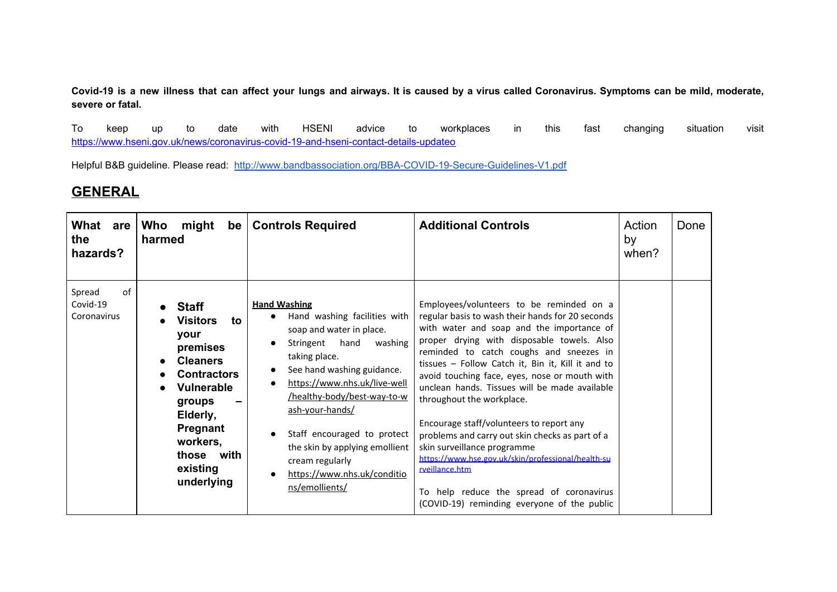Covid-19 is a new illness that can affect your lungs and airways. It is caused by a virus called Coronavirus. Symptoms can be mild, moderate, **severe or fatal.**

To keep up to date with HSENI advice to workplaces in this fast changing situation visit [https://www.hseni.gov.uk/news/coronavirus-covid-19-and-hseni-contact-details-updateo](https://www.hseni.gov.uk/news/coronavirus-covid-19-and-hseni-contact-details-updateo%20)

Helpful B&B guideline. Please read: <http://www.bandbassociation.org/BBA-COVID-19-Secure-Guidelines-V1.pdf>

## **GENERAL**

| What<br>are<br>the<br>hazards?          | Who<br>might<br>be <sub>1</sub><br>harmed                                                                                                                                                                      | <b>Controls Required</b>                                                                                                                                                                                                                                                                                                                                                                        | <b>Additional Controls</b>                                                                                                                                                                                                                                                                                                                                                                                                                                                                                                                                                                                                                                                                                              | Action<br>by<br>when? | Done |
|-----------------------------------------|----------------------------------------------------------------------------------------------------------------------------------------------------------------------------------------------------------------|-------------------------------------------------------------------------------------------------------------------------------------------------------------------------------------------------------------------------------------------------------------------------------------------------------------------------------------------------------------------------------------------------|-------------------------------------------------------------------------------------------------------------------------------------------------------------------------------------------------------------------------------------------------------------------------------------------------------------------------------------------------------------------------------------------------------------------------------------------------------------------------------------------------------------------------------------------------------------------------------------------------------------------------------------------------------------------------------------------------------------------------|-----------------------|------|
| of<br>Spread<br>Covid-19<br>Coronavirus | <b>Staff</b><br><b>Visitors</b><br>to.<br>your<br>premises<br><b>Cleaners</b><br><b>Contractors</b><br><b>Vulnerable</b><br>groups<br>Elderly,<br>Pregnant<br>workers,<br>those with<br>existing<br>underlying | <b>Hand Washing</b><br>Hand washing facilities with<br>$\bullet$<br>soap and water in place.<br>Stringent hand<br>washing<br>taking place.<br>See hand washing guidance.<br>https://www.nhs.uk/live-well<br>/healthy-body/best-way-to-w<br>ash-your-hands/<br>Staff encouraged to protect<br>the skin by applying emollient<br>cream regularly<br>https://www.nhs.uk/conditio<br>ns/emollients/ | Employees/volunteers to be reminded on a<br>regular basis to wash their hands for 20 seconds<br>with water and soap and the importance of<br>proper drying with disposable towels. Also<br>reminded to catch coughs and sneezes in<br>tissues - Follow Catch it, Bin it, Kill it and to<br>avoid touching face, eyes, nose or mouth with<br>unclean hands. Tissues will be made available<br>throughout the workplace.<br>Encourage staff/volunteers to report any<br>problems and carry out skin checks as part of a<br>skin surveillance programme<br>https://www.hse.gov.uk/skin/professional/health-su<br>rveillance.htm<br>To help reduce the spread of coronavirus<br>(COVID-19) reminding everyone of the public |                       |      |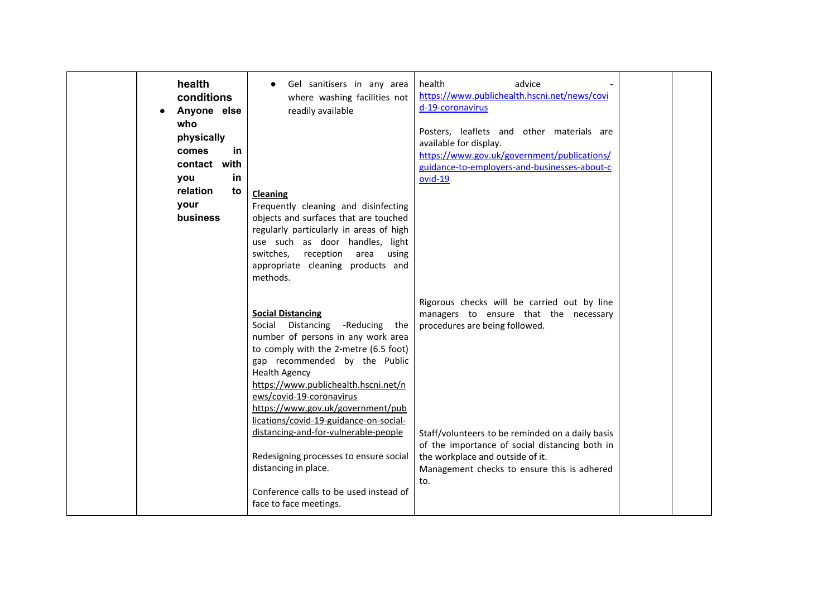| health<br>conditions<br>Anyone else<br>who<br>physically<br>comes<br>in.<br>contact with<br>in.<br>you<br>relation<br>to<br>your<br><b>business</b> | Gel sanitisers in any area<br>where washing facilities not<br>readily available<br>Cleaning<br>Frequently cleaning and disinfecting<br>objects and surfaces that are touched<br>regularly particularly in areas of high<br>use such as door handles, light<br>switches,<br>reception area using<br>appropriate cleaning products and<br>methods.                                                                                                                                                                                        | health<br>advice<br>https://www.publichealth.hscni.net/news/covi<br>d-19-coronavirus<br>Posters, leaflets and other materials are<br>available for display.<br>https://www.gov.uk/government/publications/<br>guidance-to-employers-and-businesses-about-c<br>$ovid-19$                                                |  |
|-----------------------------------------------------------------------------------------------------------------------------------------------------|-----------------------------------------------------------------------------------------------------------------------------------------------------------------------------------------------------------------------------------------------------------------------------------------------------------------------------------------------------------------------------------------------------------------------------------------------------------------------------------------------------------------------------------------|------------------------------------------------------------------------------------------------------------------------------------------------------------------------------------------------------------------------------------------------------------------------------------------------------------------------|--|
|                                                                                                                                                     | <b>Social Distancing</b><br>Social Distancing<br>-Reducing the<br>number of persons in any work area<br>to comply with the 2-metre (6.5 foot)<br>gap recommended by the Public<br><b>Health Agency</b><br>https://www.publichealth.hscni.net/n<br>ews/covid-19-coronavirus<br>https://www.gov.uk/government/pub<br>lications/covid-19-guidance-on-social-<br>distancing-and-for-vulnerable-people<br>Redesigning processes to ensure social<br>distancing in place.<br>Conference calls to be used instead of<br>face to face meetings. | Rigorous checks will be carried out by line<br>managers to ensure that the necessary<br>procedures are being followed.<br>Staff/volunteers to be reminded on a daily basis<br>of the importance of social distancing both in<br>the workplace and outside of it.<br>Management checks to ensure this is adhered<br>to. |  |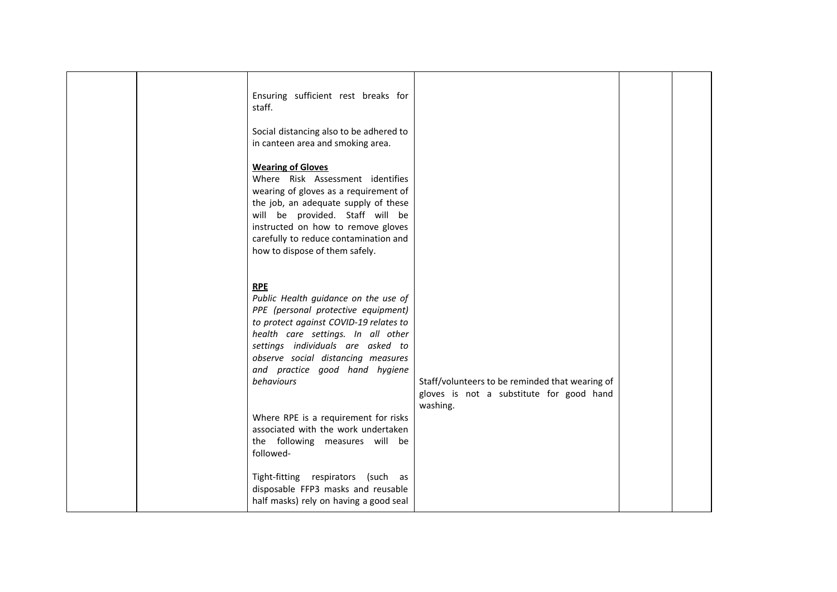|  | Ensuring sufficient rest breaks for<br>staff.<br>Social distancing also to be adhered to<br>in canteen area and smoking area.<br><b>Wearing of Gloves</b><br>Where Risk Assessment identifies<br>wearing of gloves as a requirement of<br>the job, an adequate supply of these<br>will be provided. Staff will be<br>instructed on how to remove gloves<br>carefully to reduce contamination and<br>how to dispose of them safely. |                                                                                                         |  |
|--|------------------------------------------------------------------------------------------------------------------------------------------------------------------------------------------------------------------------------------------------------------------------------------------------------------------------------------------------------------------------------------------------------------------------------------|---------------------------------------------------------------------------------------------------------|--|
|  | <b>RPE</b><br>Public Health guidance on the use of<br>PPE (personal protective equipment)<br>to protect against COVID-19 relates to<br>health care settings. In all other<br>settings individuals are asked to<br>observe social distancing measures<br>and practice good hand hygiene<br>behaviours<br>Where RPE is a requirement for risks<br>associated with the work undertaken<br>the following measures will be<br>followed- | Staff/volunteers to be reminded that wearing of<br>gloves is not a substitute for good hand<br>washing. |  |
|  | Tight-fitting respirators (such as<br>disposable FFP3 masks and reusable<br>half masks) rely on having a good seal                                                                                                                                                                                                                                                                                                                 |                                                                                                         |  |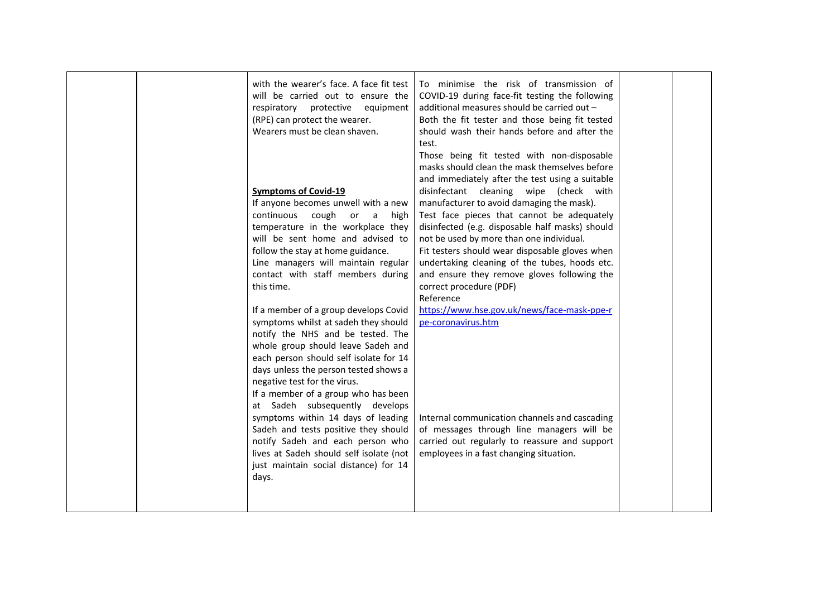|  | with the wearer's face. A face fit test<br>will be carried out to ensure the<br>respiratory protective equipment<br>(RPE) can protect the wearer.<br>Wearers must be clean shaven.<br><b>Symptoms of Covid-19</b><br>If anyone becomes unwell with a new<br>continuous<br>cough<br>or<br>a<br>high<br>temperature in the workplace they<br>will be sent home and advised to<br>follow the stay at home guidance.<br>Line managers will maintain regular<br>contact with staff members during<br>this time.<br>If a member of a group develops Covid<br>symptoms whilst at sadeh they should<br>notify the NHS and be tested. The<br>whole group should leave Sadeh and<br>each person should self isolate for 14<br>days unless the person tested shows a<br>negative test for the virus.<br>If a member of a group who has been<br>at Sadeh subsequently develops<br>symptoms within 14 days of leading<br>Sadeh and tests positive they should<br>notify Sadeh and each person who | To minimise the risk of transmission of<br>COVID-19 during face-fit testing the following<br>additional measures should be carried out -<br>Both the fit tester and those being fit tested<br>should wash their hands before and after the<br>test.<br>Those being fit tested with non-disposable<br>masks should clean the mask themselves before<br>and immediately after the test using a suitable<br>disinfectant cleaning wipe (check with<br>manufacturer to avoid damaging the mask).<br>Test face pieces that cannot be adequately<br>disinfected (e.g. disposable half masks) should<br>not be used by more than one individual.<br>Fit testers should wear disposable gloves when<br>undertaking cleaning of the tubes, hoods etc.<br>and ensure they remove gloves following the<br>correct procedure (PDF)<br>Reference<br>https://www.hse.gov.uk/news/face-mask-ppe-r<br>pe-coronavirus.htm<br>Internal communication channels and cascading<br>of messages through line managers will be<br>carried out regularly to reassure and support |  |
|--|--------------------------------------------------------------------------------------------------------------------------------------------------------------------------------------------------------------------------------------------------------------------------------------------------------------------------------------------------------------------------------------------------------------------------------------------------------------------------------------------------------------------------------------------------------------------------------------------------------------------------------------------------------------------------------------------------------------------------------------------------------------------------------------------------------------------------------------------------------------------------------------------------------------------------------------------------------------------------------------|---------------------------------------------------------------------------------------------------------------------------------------------------------------------------------------------------------------------------------------------------------------------------------------------------------------------------------------------------------------------------------------------------------------------------------------------------------------------------------------------------------------------------------------------------------------------------------------------------------------------------------------------------------------------------------------------------------------------------------------------------------------------------------------------------------------------------------------------------------------------------------------------------------------------------------------------------------------------------------------------------------------------------------------------------------|--|
|  | lives at Sadeh should self isolate (not<br>just maintain social distance) for 14<br>days.                                                                                                                                                                                                                                                                                                                                                                                                                                                                                                                                                                                                                                                                                                                                                                                                                                                                                            | employees in a fast changing situation.                                                                                                                                                                                                                                                                                                                                                                                                                                                                                                                                                                                                                                                                                                                                                                                                                                                                                                                                                                                                                 |  |
|  |                                                                                                                                                                                                                                                                                                                                                                                                                                                                                                                                                                                                                                                                                                                                                                                                                                                                                                                                                                                      |                                                                                                                                                                                                                                                                                                                                                                                                                                                                                                                                                                                                                                                                                                                                                                                                                                                                                                                                                                                                                                                         |  |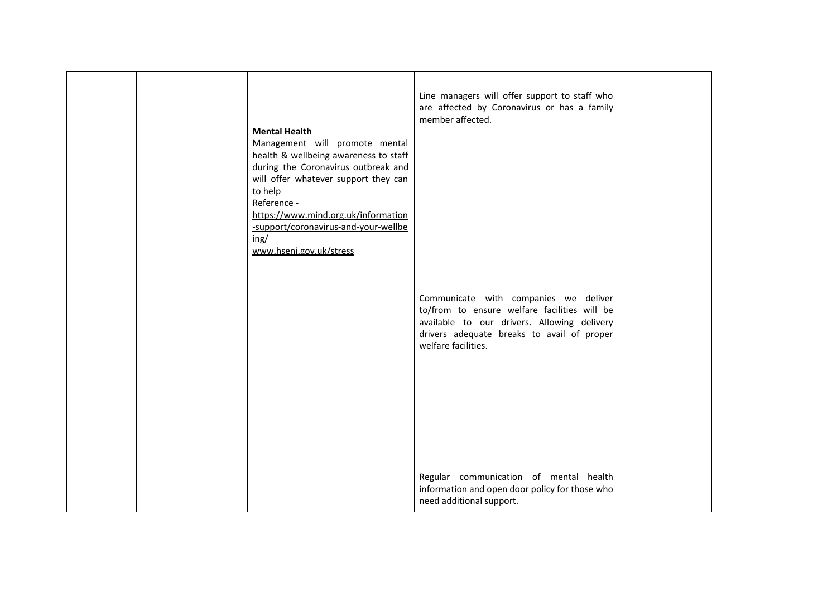|  | <b>Mental Health</b><br>Management will promote mental<br>health & wellbeing awareness to staff<br>during the Coronavirus outbreak and<br>will offer whatever support they can<br>to help<br>Reference -<br>https://www.mind.org.uk/information<br>-support/coronavirus-and-your-wellbe<br>ing/<br>www.hseni.gov.uk/stress | Line managers will offer support to staff who<br>are affected by Coronavirus or has a family<br>member affected.<br>Communicate with companies we deliver<br>to/from to ensure welfare facilities will be<br>available to our drivers. Allowing delivery<br>drivers adequate breaks to avail of proper<br>welfare facilities. |  |
|--|----------------------------------------------------------------------------------------------------------------------------------------------------------------------------------------------------------------------------------------------------------------------------------------------------------------------------|-------------------------------------------------------------------------------------------------------------------------------------------------------------------------------------------------------------------------------------------------------------------------------------------------------------------------------|--|
|  |                                                                                                                                                                                                                                                                                                                            | Regular communication of mental health<br>information and open door policy for those who<br>need additional support.                                                                                                                                                                                                          |  |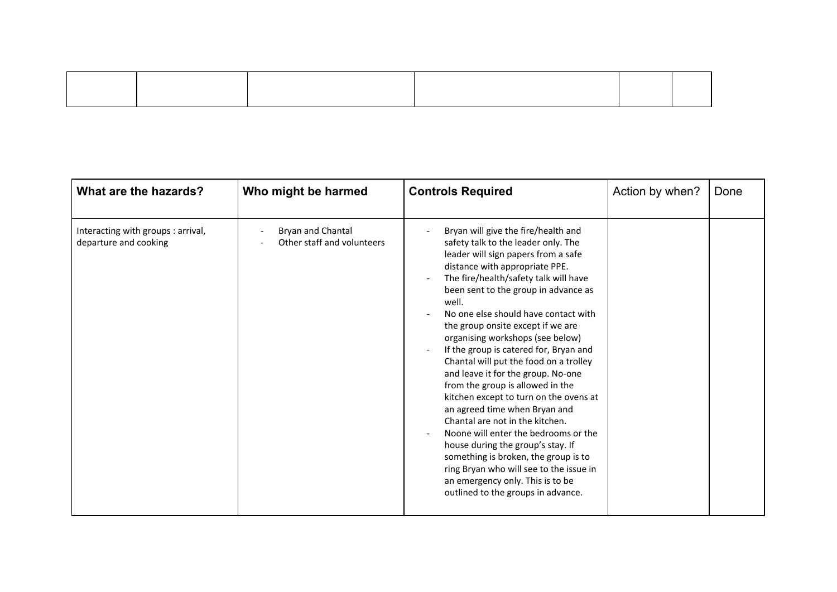| What are the hazards?                                       | Who might be harmed                             | <b>Controls Required</b>                                                                                                                                                                                                                                                                                                                                                                                                                                                                                                                                                                                                                                                                                                                                                                                                                                                                               | Action by when? | Done |
|-------------------------------------------------------------|-------------------------------------------------|--------------------------------------------------------------------------------------------------------------------------------------------------------------------------------------------------------------------------------------------------------------------------------------------------------------------------------------------------------------------------------------------------------------------------------------------------------------------------------------------------------------------------------------------------------------------------------------------------------------------------------------------------------------------------------------------------------------------------------------------------------------------------------------------------------------------------------------------------------------------------------------------------------|-----------------|------|
| Interacting with groups : arrival,<br>departure and cooking | Bryan and Chantal<br>Other staff and volunteers | Bryan will give the fire/health and<br>$\blacksquare$<br>safety talk to the leader only. The<br>leader will sign papers from a safe<br>distance with appropriate PPE.<br>The fire/health/safety talk will have<br>been sent to the group in advance as<br>well.<br>No one else should have contact with<br>the group onsite except if we are<br>organising workshops (see below)<br>If the group is catered for, Bryan and<br>Chantal will put the food on a trolley<br>and leave it for the group. No-one<br>from the group is allowed in the<br>kitchen except to turn on the ovens at<br>an agreed time when Bryan and<br>Chantal are not in the kitchen.<br>Noone will enter the bedrooms or the<br>house during the group's stay. If<br>something is broken, the group is to<br>ring Bryan who will see to the issue in<br>an emergency only. This is to be<br>outlined to the groups in advance. |                 |      |